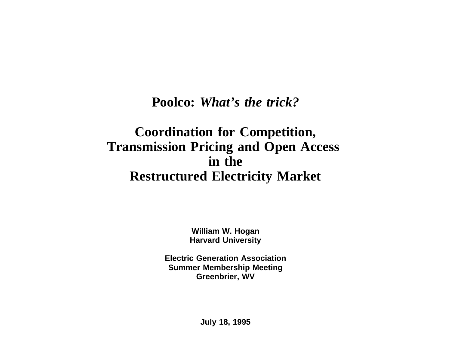# **Poolco:** *What's the trick?*

# **Coordination for Competition, Transmission Pricing and Open Access in theRestructured Electricity Market**

**William W. Hogan Harvard University**

**Electric Generation AssociationSummer Membership Meeting Greenbrier, WV**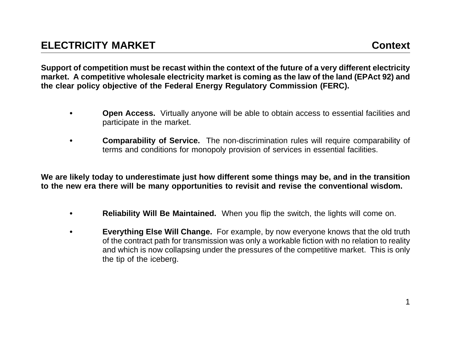Support of competition must be recast within the context of the future of a very different electricity market. A competitive wholesale electricity market is coming as the law of the land (EPAct 92) and the clear policy objective of the Federal Energy Regulatory Commission (FERC).

- **•Open Access.** Virtually anyone will be able to obtain access to essential facilities and participate in the market.
- **• Comparability of Service.** The non-discrimination rules will require comparability of terms and conditions for monopoly provision of services in essential facilities.

We are likely today to underestimate just how different some things may be, and in the transition to the new era there will be many opportunities to revisit and revise the conventional wisdom.

- **• Reliability Will Be Maintained.** When you flip the switch, the lights will come on.
- **• Everything Else Will Change.** For example, by now everyone knows that the old truth of the contract path for transmission was only <sup>a</sup> workable fiction with no relation to reality and which is now collapsing under the pressures of the competitive market. This is only the tip of the iceberg.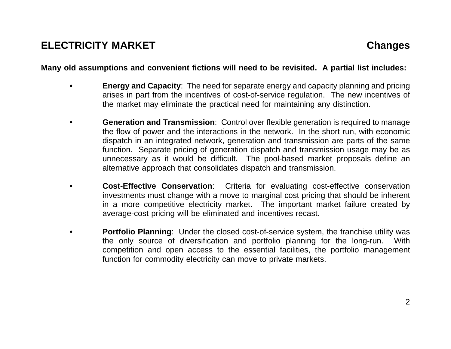#### Many old assumptions and convenient fictions will need to be revisited. A partial list includes:

- **• Energy and Capacity**: The need for separate energy and capacity planning and pricing arises in part from the incentives of cost-of-service regulation. The new incentives of the market may eliminate the practical need for maintaining any distinction.
- **• Generation and Transmission**: Control over flexible generation is required to manage the flow of power and the interactions in the network. In the short run, with economic dispatch in an integrated network, generation and transmission are parts of the same function. Separate pricing of generation dispatch and transmission usage may be as unnecessary as it would be difficult. The pool-based market proposals define an alternative approach that consolidates dispatch and transmission.
- **•Cost-Effective Conservation:** Criteria for evaluating cost-effective conservation investments must change with <sup>a</sup> move to marginal cost pricing that should be inherent in <sup>a</sup> more competitive electricity market. The important market failure created by average-cost pricing will be eliminated and incentives recast.
- **•Portfolio Planning:** Under the closed cost-of-service system, the franchise utility was the only source of diversification and portfolio planning for the long-run. With competition and open access to the essential facilities, the portfolio management function for commodity electricity can move to private markets.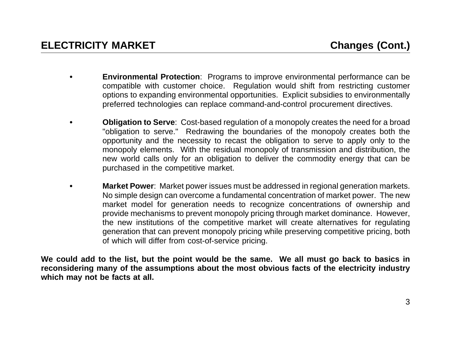- **• Environmental Protection**: Programs to improve environmental performance can be compatible with customer choice. Regulation would shift from restricting customer options to expanding environmental opportunities. Explicit subsidies to environmentally preferred technologies can replace command-and-control procurement directives.
- **• Obligation to Serve**: Cost-based regulation of <sup>a</sup> monopoly creates the need for <sup>a</sup> broad "obligation to serve." Redrawing the boundaries of the monopoly creates both the opportunity and the necessity to recast the obligation to serve to apply only to the monopoly elements. With the residual monopoly of transmission and distribution, the new world calls only for an obligation to deliver the commodity energy that can be purchased in the competitive market.
- **• Market Power**: Market power issues must be addressed in regional generation markets. No simple design can overcome <sup>a</sup> fundamental concentration of market power. The new market model for generation needs to recognize concentrations of ownership and provide mechanisms to prevent monopoly pricing through market dominance. However, the new institutions of the competitive market will create alternatives for regulating generation that can prevent monopoly pricing while preserving competitive pricing, both of which will differ from cost-of-service pricing.

We could add to the list, but the point would be the same. We all must go back to basics in reconsidering many of the assumptions about the most obvious facts of the electricity industry **which may not be facts at all.**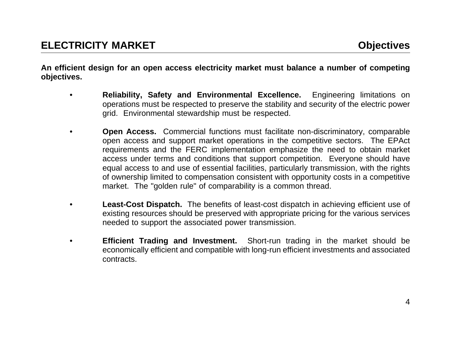An efficient design for an open access electricity market must balance a number of competing **objectives.**

- • **Reliability, Safety and Environmental Excellence.** Engineering limitations on operations must be respected to preserve the stability and security of the electric power grid. Environmental stewardship must be respected.
- •**Open Access.** Commercial functions must facilitate non-discriminatory, comparable open access and support market operations in the competitive sectors. The EPAct requirements and the FERC implementation emphasize the need to obtain market access under terms and conditions that support competition. Everyone should have equal access to and use of essential facilities, particularly transmission, with the rights of ownership limited to compensation consistent with opportunity costs in <sup>a</sup> competitive market. The "golden rule" of comparability is <sup>a</sup> common thread.
- •**Least-Cost Dispatch.** The benefits of least-cost dispatch in achieving efficient use of existing resources should be preserved with appropriate pricing for the various services needed to support the associated power transmission.
- • **Efficient Trading and Investment.** Short-run trading in the market should be economically efficient and compatible with long-run efficient investments and associated contracts.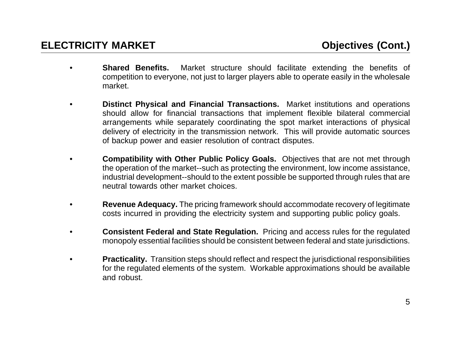- •**Shared Benefits.** Market structure should facilitate extending the benefits of competition to everyone, not just to larger players able to operate easily in the wholesale market.
- • **Distinct Physical and Financial Transactions.** Market institutions and operations should allow for financial transactions that implement flexible bilateral commercial arrangements while separately coordinating the spot market interactions of physical delivery of electricity in the transmission network. This will provide automatic sources of backup power and easier resolution of contract disputes.
- • **Compatibility with Other Public Policy Goals.** Objectives that are not met through the operation of the market--such as protecting the environment, low income assistance, industrial development--should to the extent possible be supported through rules that are neutral towards other market choices.
- • **Revenue Adequacy.** The pricing framework should accommodate recovery of legitimate costs incurred in providing the electricity system and supporting public policy goals.
- • **Consistent Federal and State Regulation.** Pricing and access rules for the regulated monopoly essential facilities should be consistent between federal and state jurisdictions.
- • **Practicality.** Transition steps should reflect and respect the jurisdictional responsibilities for the regulated elements of the system. Workable approximations should be available and robust.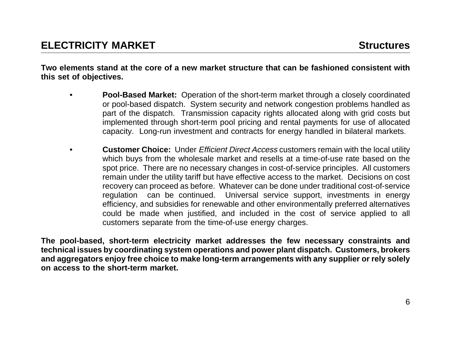Two elements stand at the core of a new market structure that can be fashioned consistent with **this set of objectives.**

- • **Pool-Based Market:** Operation of the short-term market through <sup>a</sup> closely coordinated or pool-based dispatch. System security and network congestion problems handled as part of the dispatch. Transmission capacity rights allocated along with grid costs but implemented through short-term pool pricing and rental payments for use of allocated capacity. Long-run investment and contracts for energy handled in bilateral markets.
- • **Customer Choice:** Under Efficient Direct Access customers remain with the local utility which buys from the wholesale market and resells at <sup>a</sup> time-of-use rate based on the spot price. There are no necessary changes in cost-of-service principles. All customers remain under the utility tariff but have effective access to the market. Decisions on cost recovery can proceed as before. Whatever can be done under traditional cost-of-service regulation can be continued. Universal service support, investments in energy efficiency, and subsidies for renewable and other environmentally preferred alternatives could be made when justified, and included in the cost of service applied to all customers separate from the time-of-use energy charges.

The pool-based, short-term electricity market addresses the few necessary constraints and technical issues by coordinating system operations and power plant dispatch. Customers, brokers and aggregators enjoy free choice to make long-term arrangements with any supplier or rely solely **on access to the short-term market.**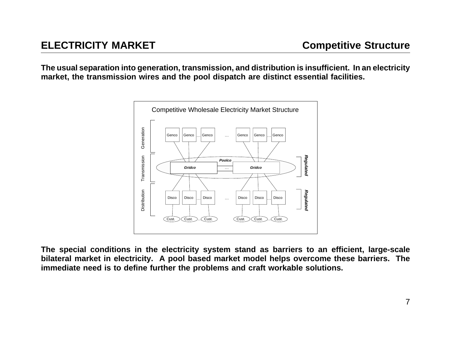The usual separation into generation, transmission, and distribution is insufficient. In an electricity market, the transmission wires and the pool dispatch are distinct essential facilities.



The special conditions in the electricity system stand as barriers to an efficient, large-scale bilateral market in electricity. A pool based market model helps overcome these barriers. The immediate need is to define further the problems and craft workable solutions.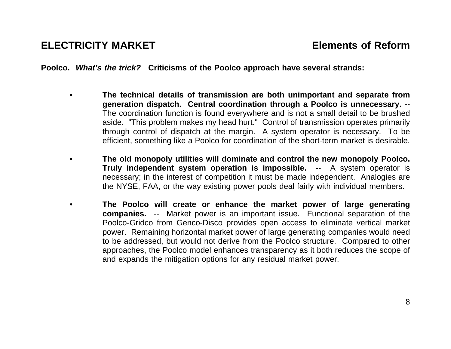Poolco. *What's the trick?* Criticisms of the Poolco approach have several strands:

- • **The technical details of transmission are both unimportant and separate from generation dispatch. Central coordination through <sup>a</sup> Poolco is unnecessary.** -- The coordination function is found everywhere and is not <sup>a</sup> small detail to be brushed aside. "This problem makes my head hurt." Control of transmission operates primarily through control of dispatch at the margin. A system operator is necessary. To be efficient, something like <sup>a</sup> Poolco for coordination of the short-term market is desirable.
- •The old monopoly utilities will dominate and control the new monopoly Poolco. **Truly independent system operation is impossible.** -- A system operator is necessary; in the interest of competition it must be made independent. Analogies are the NYSE, FAA, or the way existing power pools deal fairly with individual members.
- •The Poolco will create or enhance the market power of large generating **companies.** -- Market power is an important issue. Functional separation of the Poolco-Gridco from Genco-Disco provides open access to eliminate vertical market power. Remaining horizontal market power of large generating companies would need to be addressed, but would not derive from the Poolco structure. Compared to other approaches, the Poolco model enhances transparency as it both reduces the scope of and expands the mitigation options for any residual market power.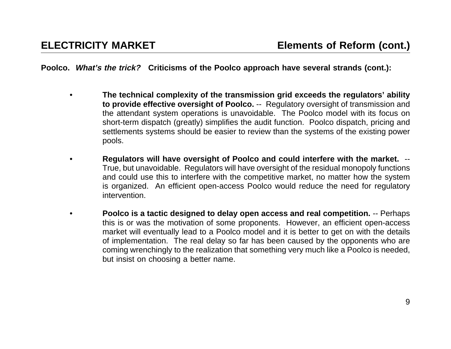Poolco. *What's the trick?* Criticisms of the Poolco approach have several strands (cont.):

- •The technical complexity of the transmission grid exceeds the regulators' ability **to provide effective oversight of Poolco.** -- Regulatory oversight of transmission and the attendant system operations is unavoidable. The Poolco model with its focus on short-term dispatch (greatly) simplifies the audit function. Poolco dispatch, pricing and settlements systems should be easier to review than the systems of the existing power pools.
- •Regulators will have oversight of Poolco and could interfere with the market. --True, but unavoidable. Regulators will have oversight of the residual monopoly functions and could use this to interfere with the competitive market, no matter how the system is organized. An efficient open-access Poolco would reduce the need for regulatory intervention.
- •Poolco is a tactic designed to delay open access and real competition. -- Perhaps this is or was the motivation of some proponents. However, an efficient open-access market will eventually lead to <sup>a</sup> Poolco model and it is better to get on with the details of implementation. The real delay so far has been caused by the opponents who are coming wrenchingly to the realization that something very much like <sup>a</sup> Poolco is needed, but insist on choosing <sup>a</sup> better name.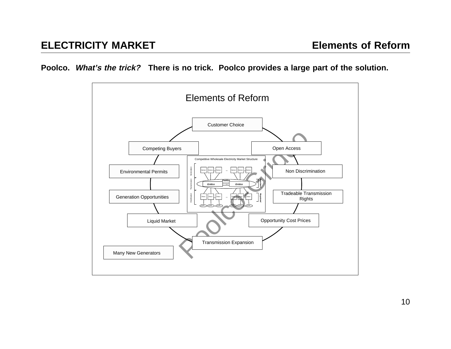Poolco. *What's the trick?* There is no trick. Poolco provides a large part of the solution.

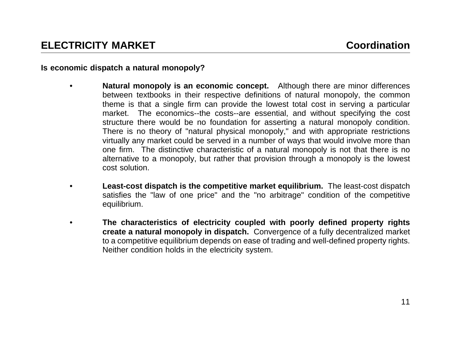## **ELECTRICITY MARKET Coordination**

#### **Is economic dispatch <sup>a</sup> natural monopoly?**

- • **Natural monopoly is an economic concept.** Although there are minor differences between textbooks in their respective definitions of natural monopoly, the common theme is that <sup>a</sup> single firm can provide the lowest total cost in serving <sup>a</sup> particular market. The economics--the costs--are essential, and without specifying the cost structure there would be no foundation for asserting <sup>a</sup> natural monopoly condition. There is no theory of "natural physical monopoly," and with appropriate restrictions virtually any market could be served in <sup>a</sup> number of ways that would involve more than one firm. The distinctive characteristic of <sup>a</sup> natural monopoly is not that there is no alternative to <sup>a</sup> monopoly, but rather that provision through <sup>a</sup> monopoly is the lowest cost solution.
- • **Least-cost dispatch is the competitive market equilibrium.** The least-cost dispatch satisfies the "law of one price" and the "no arbitrage" condition of the competitive equilibrium.
- • **The characteristics of electricity coupled with poorly defined property rights create <sup>a</sup> natural monopoly in dispatch.** Convergence of <sup>a</sup> fully decentralized market to <sup>a</sup> competitive equilibrium depends on ease of trading and well-defined property rights. Neither condition holds in the electricity system.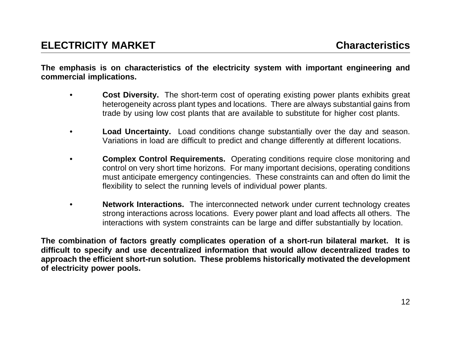The emphasis is on characteristics of the electricity system with important engineering and **commercial implications.**

- • **Cost Diversity.** The short-term cost of operating existing power plants exhibits great heterogeneity across plant types and locations. There are always substantial gains from trade by using low cost plants that are available to substitute for higher cost plants.
- • **Load Uncertainty.** Load conditions change substantially over the day and season. Variations in load are difficult to predict and change differently at different locations.
- • **Complex Control Requirements.** Operating conditions require close monitoring and control on very short time horizons. For many important decisions, operating conditions must anticipate emergency contingencies. These constraints can and often do limit the flexibility to select the running levels of individual power plants.
- •**Network Interactions.** The interconnected network under current technology creates strong interactions across locations. Every power plant and load affects all others. The interactions with system constraints can be large and differ substantially by location.

The combination of factors greatly complicates operation of a short-run bilateral market. It is difficult to specify and use decentralized information that would allow decentralized trades to approach the efficient short-run solution. These problems historically motivated the development **of electricity power pools.**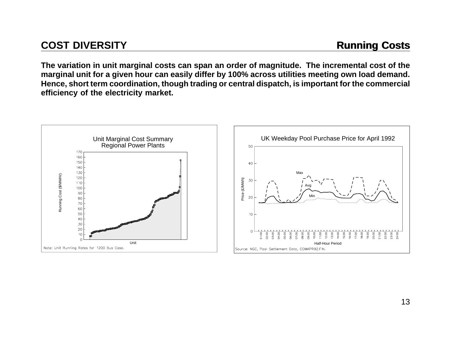# **COST DIVERSITY Running Running Costs**

The variation in unit marginal costs can span an order of magnitude. The incremental cost of the marginal unit for a given hour can easily differ by 100% across utilities meeting own load demand. Hence, short term coordination, though trading or central dispatch, is important for the commercial **efficiency of the electricity market.**



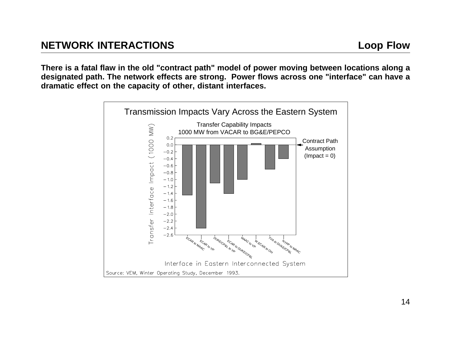There is a fatal flaw in the old "contract path" model of power moving between locations along a designated path. The network effects are strong. Power flows across one "interface" can have a **dramatic effect on the capacity of other, distant interfaces.**

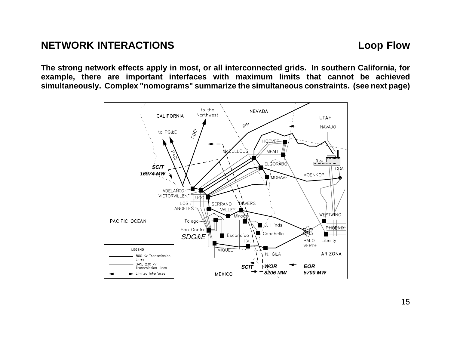The strong network effects apply in most, or all interconnected grids. In southern California, for example, there are important interfaces with maximum limits that cannot be achieved **simultaneously. Complex "nomograms" summarize the simultaneous constraints. (see next page)**

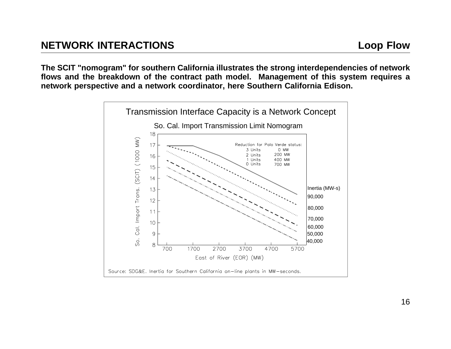The SCIT "nomogram" for southern California illustrates the strong interdependencies of network flows and the breakdown of the contract path model. Management of this system requires a **network perspective and <sup>a</sup> network coordinator, here Southern California Edison.**

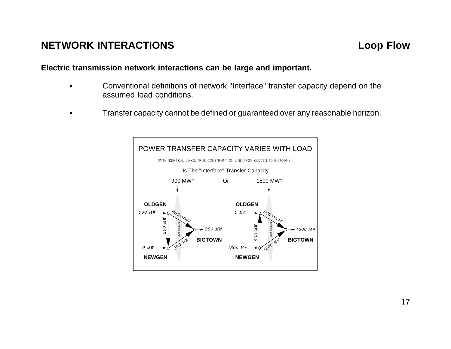#### **Electric transmission network interactions can be large and important.**

- • Conventional definitions of network "Interface" transfer capacity depend on the assumed load conditions.
- •Transfer capacity cannot be defined or guaranteed over any reasonable horizon.

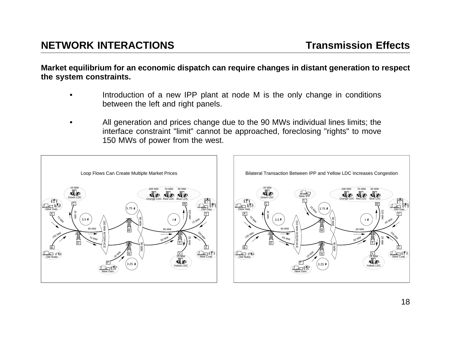Market equilibrium for an economic dispatch can require changes in distant generation to respect **the system constraints.**

- • Introduction of <sup>a</sup> new IPP plant at node M is the only change in conditions between the left and right panels.
- • All generation and prices change due to the 90 MWs individual lines limits; the interface constraint "limit" cannot be approached, foreclosing "rights" to move 150 MWs of power from the west.



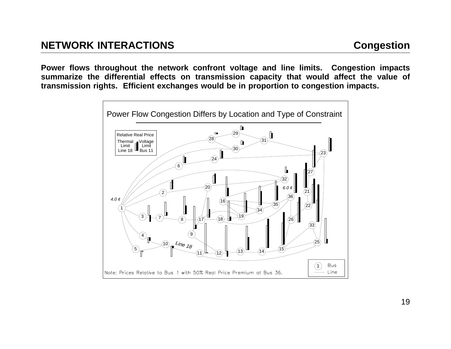Power flows throughout the network confront voltage and line limits. Congestion impacts summarize the differential effects on transmission capacity that would affect the value of transmission rights. Efficient exchanges would be in proportion to congestion impacts.

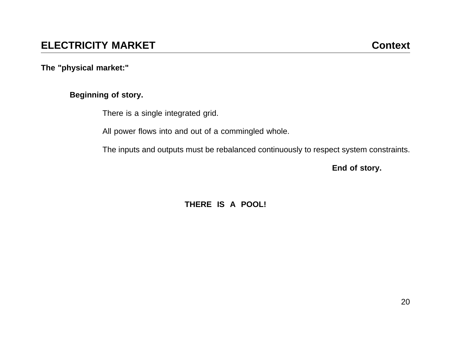**The "physical market:"**

## **Beginning of story.**

There is <sup>a</sup> single integrated grid.

All power flows into and out of <sup>a</sup> commingled whole.

The inputs and outputs must be rebalanced continuously to respect system constraints.

**End of story.**

**THERE IS A POOL!**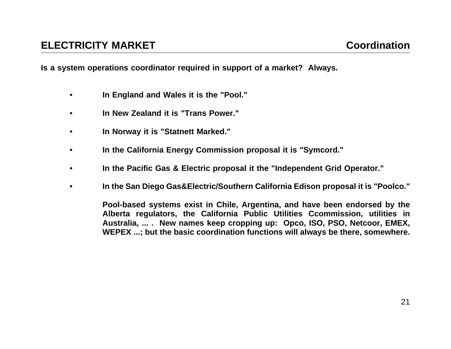Is a system operations coordinator required in support of a market? Always.

- •**In England and Wales it is the "Pool."**
- •**In New Zealand it is "Trans Power."**
- •**In Norway it is "Statnett Marked."**
- •**In the California Energy Commission proposal it is "Symcord."**
- •In the Pacific Gas & Electric proposal it the "Independent Grid Operator."
- $\bullet$ In the San Diego Gas&Electric/Southern California Edison proposal it is "Poolco."

Pool-based systems exist in Chile, Argentina, and have been endorsed by the **Alberta regulators, the California Public Utilities Ccommission, utilities in** Australia, ... . New names keep cropping up: Opco, ISO, PSO, Netcoor, EMEX, WEPEX ...; but the basic coordination functions will always be there, somewhere.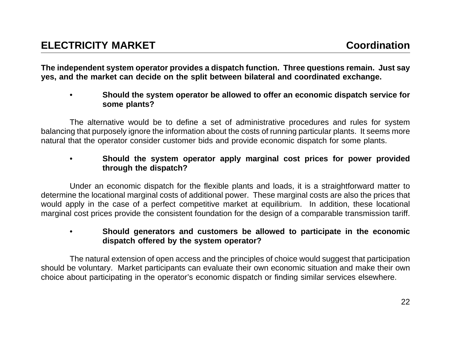The independent system operator provides a dispatch function. Three questions remain. Just say yes, and the market can decide on the split between bilateral and coordinated exchange.

•Should the system operator be allowed to offer an economic dispatch service for **some plants?**

The alternative would be to define <sup>a</sup> set of administrative procedures and rules for system balancing that purposely ignore the information about the costs of running particular plants. It seems more natural that the operator consider customer bids and provide economic dispatch for some plants.

• **Should the system operator apply marginal cost prices for power provided through the dispatch?**

Under an economic dispatch for the flexible plants and loads, it is <sup>a</sup> straightforward matter to determine the locational marginal costs of additional power. These marginal costs are also the prices that would apply in the case of <sup>a</sup> perfect competitive market at equilibrium. In addition, these locational marginal cost prices provide the consistent foundation for the design of <sup>a</sup> comparable transmission tariff.

• **Should generators and customers be allowed to participate in the economic dispatch offered by the system operator?**

The natural extension of open access and the principles of choice would suggest that participation should be voluntary. Market participants can evaluate their own economic situation and make their own choice about participating in the operator's economic dispatch or finding similar services elsewhere.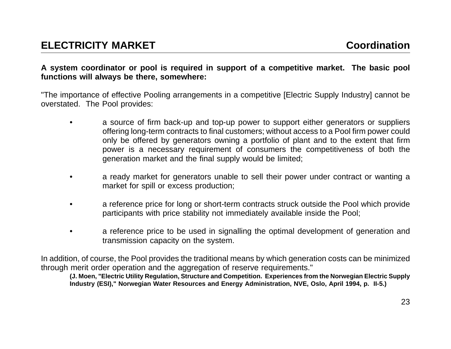A system coordinator or pool is required in support of a competitive market. The basic pool **functions will always be there, somewhere:**

"The importance of effective Pooling arrangements in <sup>a</sup> competitive [Electric Supply Industry] cannot be overstated. The Pool provides:

- • <sup>a</sup> source of firm back-up and top-up power to support either generators or suppliers offering long-term contracts to final customers; without access to <sup>a</sup> Pool firm power could only be offered by generators owning <sup>a</sup> portfolio of plant and to the extent that firm power is <sup>a</sup> necessary requirement of consumers the competitiveness of both the generation market and the final supply would be limited;
- • <sup>a</sup> ready market for generators unable to sell their power under contract or wanting <sup>a</sup> market for spill or excess production;
- • <sup>a</sup> reference price for long or short-term contracts struck outside the Pool which provide participants with price stability not immediately available inside the Pool;
- • <sup>a</sup> reference price to be used in signalling the optimal development of generation and transmission capacity on the system.

In addition, of course, the Pool provides the traditional means by which generation costs can be minimized through merit order operation and the aggregation of reserve requirements."

(J. Moen, "Electric Utility Regulation, Structure and Competition. Experiences from the Norwegian Electric Supply Industry (ESI)," Norwegian Water Resources and Energy Administration, NVE, Oslo, April 1994, p. II-5.)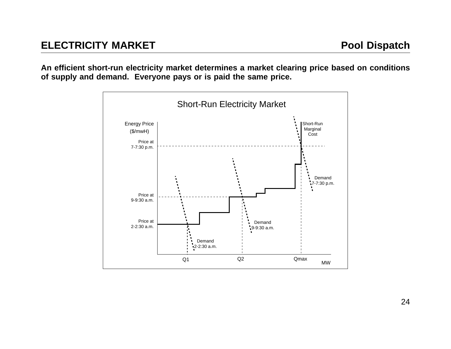An efficient short-run electricity market determines a market clearing price based on conditions **of supply and demand. Everyone pays or is paid the same price.**

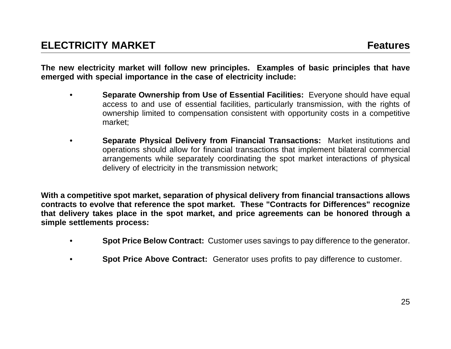•

The new electricity market will follow new principles. Examples of basic principles that have **emerged with special importance in the case of electricity include:**

- • **Separate Ownership from Use of Essential Facilities:** Everyone should have equal access to and use of essential facilities, particularly transmission, with the rights of ownership limited to compensation consistent with opportunity costs in <sup>a</sup> competitive market;
	- **Separate Physical Delivery from Financial Transactions:** Market institutions and operations should allow for financial transactions that implement bilateral commercial arrangements while separately coordinating the spot market interactions of physical delivery of electricity in the transmission network;

With a competitive spot market, separation of physical delivery from financial transactions allows contracts to evolve that reference the spot market. These "Contracts for Differences" recognize that delivery takes place in the spot market, and price agreements can be honored through a **simple settlements process:**

- •**Spot Price Below Contract:** Customer uses savings to pay difference to the generator.
- •**Spot Price Above Contract:** Generator uses profits to pay difference to customer.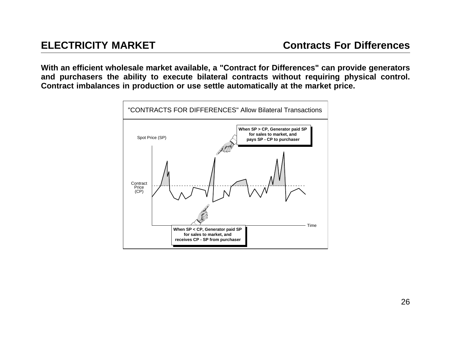With an efficient wholesale market available, a "Contract for Differences" can provide generators and purchasers the ability to execute bilateral contracts without requiring physical control. Contract imbalances in production or use settle automatically at the market price.

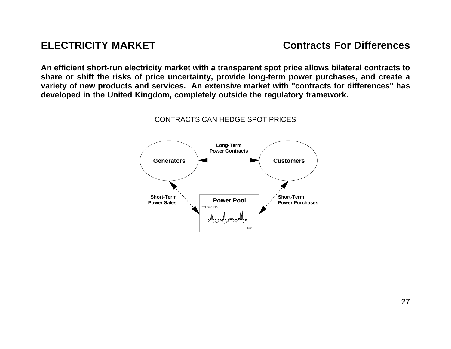An efficient short-run electricity market with a transparent spot price allows bilateral contracts to share or shift the risks of price uncertainty, provide long-term power purchases, and create a variety of new products and services. An extensive market with "contracts for differences" has **developed in the United Kingdom, completely outside the regulatory framework.**

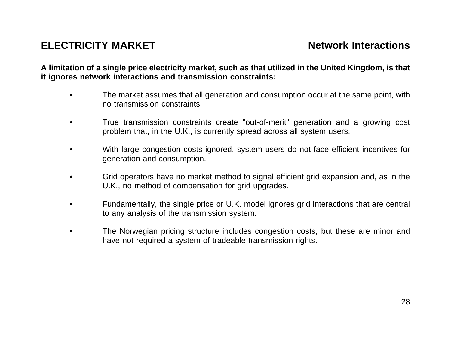A limitation of a single price electricity market, such as that utilized in the United Kingdom, is that **it ignores network interactions and transmission constraints:**

- • The market assumes that all generation and consumption occur at the same point, with no transmission constraints.
- • True transmission constraints create "out-of-merit" generation and <sup>a</sup> growing cost problem that, in the U.K., is currently spread across all system users.
- • With large congestion costs ignored, system users do not face efficient incentives for generation and consumption.
- • Grid operators have no market method to signal efficient grid expansion and, as in the U.K., no method of compensation for grid upgrades.
- • Fundamentally, the single price or U.K. model ignores grid interactions that are central to any analysis of the transmission system.
- • The Norwegian pricing structure includes congestion costs, but these are minor and have not required <sup>a</sup> system of tradeable transmission rights.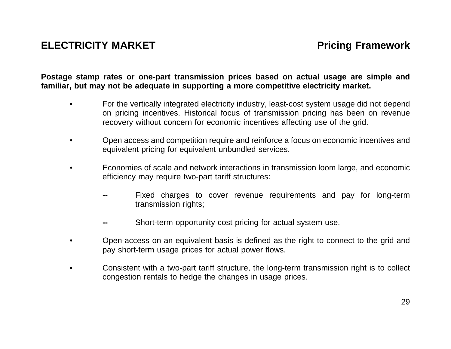Postage stamp rates or one-part transmission prices based on actual usage are simple and familiar, but may not be adequate in supporting a more competitive electricity market.

- • For the vertically integrated electricity industry, least-cost system usage did not depend on pricing incentives. Historical focus of transmission pricing has been on revenue recovery without concern for economic incentives affecting use of the grid.
- • Open access and competition require and reinforce <sup>a</sup> focus on economic incentives and equivalent pricing for equivalent unbundled services.
- • Economies of scale and network interactions in transmission loom large, and economic efficiency may require two-part tariff structures:
	- **--** Fixed charges to cover revenue requirements and pay for long-term transmission rights;
	- **--**Short-term opportunity cost pricing for actual system use.
- • Open-access on an equivalent basis is defined as the right to connect to the grid and pay short-term usage prices for actual power flows.
- • Consistent with <sup>a</sup> two-part tariff structure, the long-term transmission right is to collect congestion rentals to hedge the changes in usage prices.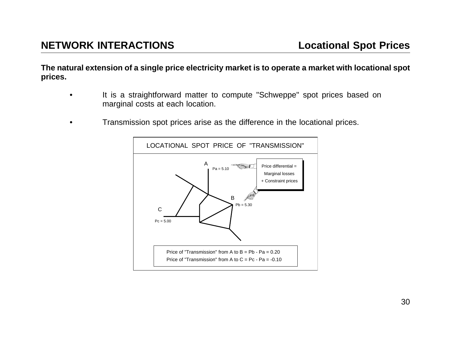The natural extension of a single price electricity market is to operate a market with locational spot **prices.**

- • It is <sup>a</sup> straightforward matter to compute "Schweppe" spot prices based on marginal costs at each location.
- •Transmission spot prices arise as the difference in the locational prices.

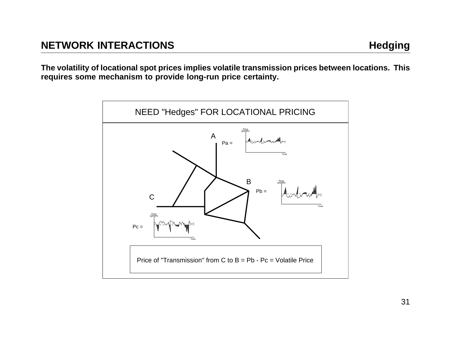The volatility of locational spot prices implies volatile transmission prices between locations. This **requires some mechanism to provide long-run price certainty.**

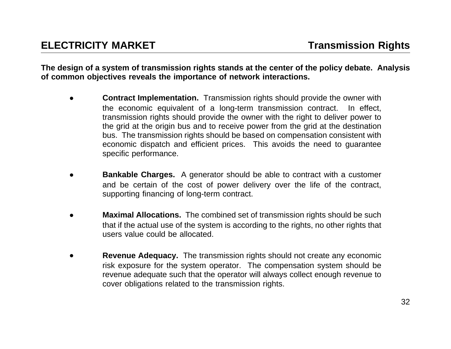The design of a system of transmission rights stands at the center of the policy debate. Analysis **of common objectives reveals the importance of network interactions.**

- • **Contract Implementation.** Transmission rights should provide the owner with the economic equivalent of <sup>a</sup> long-term transmission contract. In effect, transmission rights should provide the owner with the right to deliver power to the grid at the origin bus and to receive power from the grid at the destination bus. The transmission rights should be based on compensation consistent with economic dispatch and efficient prices. This avoids the need to guarantee specific performance.
- • **Bankable Charges.** A generator should be able to contract with <sup>a</sup> customer and be certain of the cost of power delivery over the life of the contract, supporting financing of long-term contract.
- • **Maximal Allocations.** The combined set of transmission rights should be such that if the actual use of the system is according to the rights, no other rights that users value could be allocated.
- • **Revenue Adequacy.** The transmission rights should not create any economic risk exposure for the system operator. The compensation system should be revenue adequate such that the operator will always collect enough revenue to cover obligations related to the transmission rights.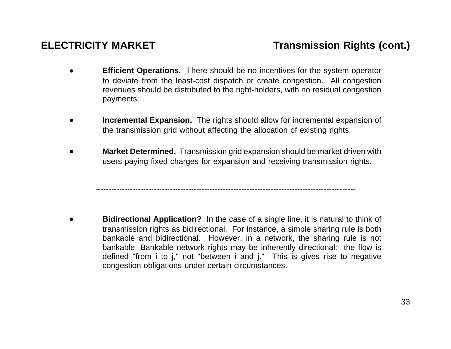- •**Efficient Operations.** There should be no incentives for the system operator to deviate from the least-cost dispatch or create congestion. All congestion revenues should be distributed to the right-holders, with no residual congestion payments.
- •**Incremental Expansion.** The rights should allow for incremental expansion of the transmission grid without affecting the allocation of existing rights.
- •**Market Determined.** Transmission grid expansion should be market driven with users paying fixed charges for expansion and receiving transmission rights.

--------------------------------------------------------------------------------------------------

• **Bidirectional Application?** In the case of <sup>a</sup> single line, it is natural to think of transmission rights as bidirectional. For instance, <sup>a</sup> simple sharing rule is both bankable and bidirectional. However, in <sup>a</sup> network, the sharing rule is not bankable. Bankable network rights may be inherently directional: the flow is defined "from i to j," not "between i and j." This is gives rise to negative congestion obligations under certain circumstances.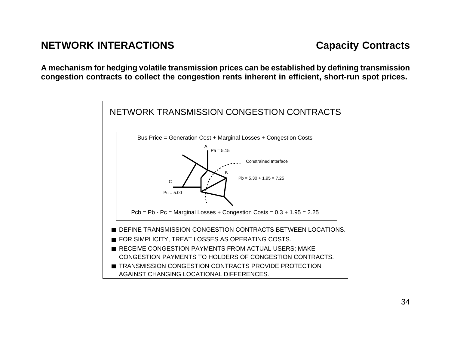A mechanism for hedging volatile transmission prices can be established by defining transmission congestion contracts to collect the congestion rents inherent in efficient, short-run spot prices.

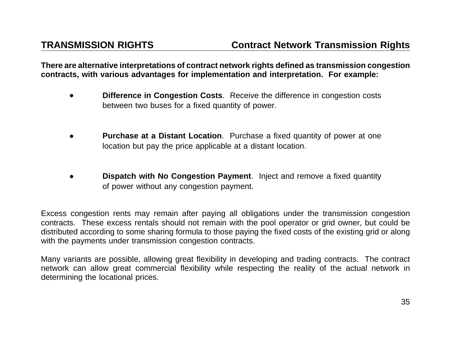There are alternative interpretations of contract network rights defined as transmission congestion **contracts, with various advantages for implementation and interpretation. For example:**

- •**Difference in Congestion Costs.** Receive the difference in congestion costs between two buses for <sup>a</sup> fixed quantity of power.
- • **Purchase at <sup>a</sup> Distant Location**. Purchase <sup>a</sup> fixed quantity of power at one location but pay the price applicable at <sup>a</sup> distant location.
- • **Dispatch with No Congestion Payment**. Inject and remove <sup>a</sup> fixed quantity of power without any congestion payment.

Excess congestion rents may remain after paying all obligations under the transmission congestion contracts. These excess rentals should not remain with the pool operator or grid owner, but could be distributed according to some sharing formula to those paying the fixed costs of the existing grid or along with the payments under transmission congestion contracts.

Many variants are possible, allowing great flexibility in developing and trading contracts. The contract network can allow great commercial flexibility while respecting the reality of the actual network in determining the locational prices.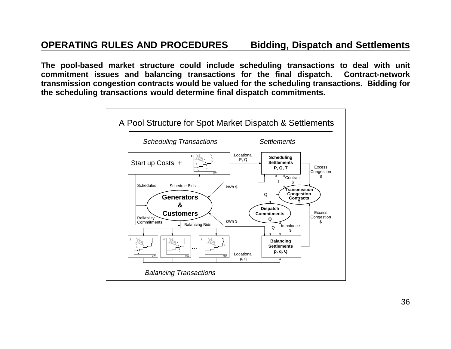The pool-based market structure could include scheduling transactions to deal with unit **commitment issues and balancing transactions for the final dispatch. Contract-network** transmission congestion contracts would be valued for the scheduling transactions. Bidding for **the scheduling transactions would determine final dispatch commitments.**

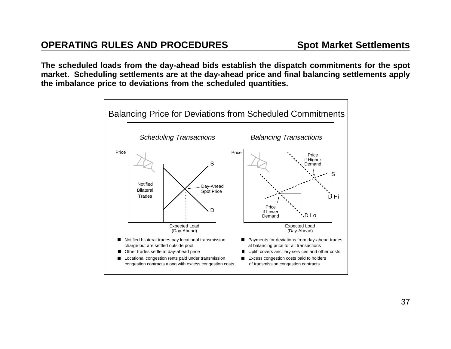The scheduled loads from the day-ahead bids establish the dispatch commitments for the spot market. Scheduling settlements are at the day-ahead price and final balancing settlements apply **the imbalance price to deviations from the scheduled quantities.**

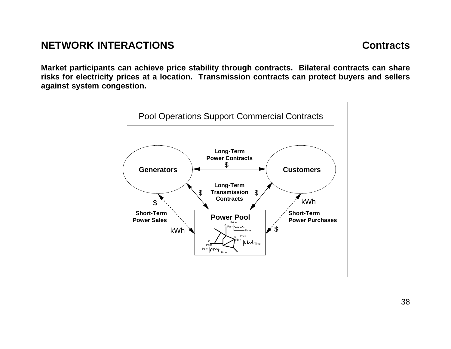Market participants can achieve price stability through contracts. Bilateral contracts can share risks for electricity prices at a location. Transmission contracts can protect buyers and sellers **against system congestion.**

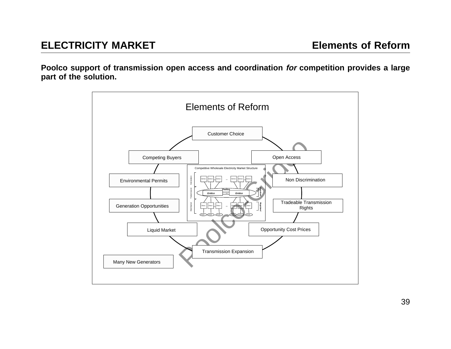Poolco support of transmission open access and coordination for competition provides a large **part of the solution.**

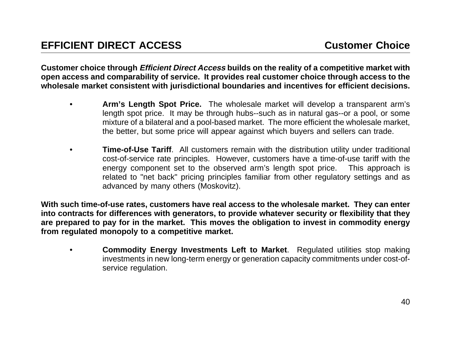Customer choice through *Efficient Direct Access* builds on the reality of a competitive market with open access and comparability of service. It provides real customer choice through access to the wholesale market consistent with jurisdictional boundaries and incentives for efficient decisions.

- • **Arm's Length Spot Price.** The wholesale market will develop <sup>a</sup> transparent arm's length spot price. It may be through hubs--such as in natural gas--or <sup>a</sup> pool, or some mixture of <sup>a</sup> bilateral and <sup>a</sup> pool-based market. The more efficient the wholesale market, the better, but some price will appear against which buyers and sellers can trade.
- •**Time-of-Use Tariff.** All customers remain with the distribution utility under traditional cost-of-service rate principles. However, customers have <sup>a</sup> time-of-use tariff with the energy component set to the observed arm's length spot price. This approach is related to "net back" pricing principles familiar from other regulatory settings and as advanced by many others (Moskovitz).

With such time-of-use rates, customers have real access to the wholesale market. They can enter into contracts for differences with generators, to provide whatever security or flexibility that they are prepared to pay for in the market. This moves the obligation to invest in commodity energy **from regulated monopoly to <sup>a</sup> competitive market.**

• **Commodity Energy Investments Left to Market**. Regulated utilities stop making investments in new long-term energy or generation capacity commitments under cost-ofservice regulation.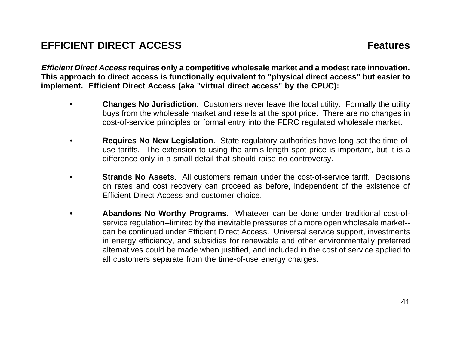*Efficient Direct Access* requires only a competitive wholesale market and a modest rate innovation. This approach to direct access is functionally equivalent to "physical direct access" but easier to implement. Efficient Direct Access (aka "virtual direct access" by the CPUC):

- • **Changes No Jurisdiction.** Customers never leave the local utility. Formally the utility buys from the wholesale market and resells at the spot price. There are no changes in cost-of-service principles or formal entry into the FERC regulated wholesale market.
- • **Requires No New Legislation**. State regulatory authorities have long set the time-ofuse tariffs. The extension to using the arm's length spot price is important, but it is <sup>a</sup> difference only in <sup>a</sup> small detail that should raise no controversy.
- • **Strands No Assets**. All customers remain under the cost-of-service tariff. Decisionson rates and cost recovery can proceed as before, independent of the existence of Efficient Direct Access and customer choice.
- • **Abandons No Worthy Programs**. Whatever can be done under traditional cost-ofservice regulation--limited by the inevitable pressures of <sup>a</sup> more open wholesale market- can be continued under Efficient Direct Access. Universal service support, investments in energy efficiency, and subsidies for renewable and other environmentally preferred alternatives could be made when justified, and included in the cost of service applied to all customers separate from the time-of-use energy charges.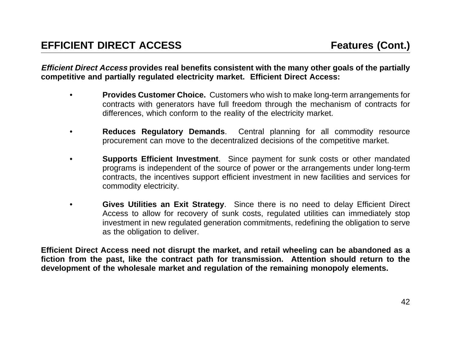•

*Efficient Direct Access* provides real benefits consistent with the many other goals of the partially **competitive and partially regulated electricity market. Efficient Direct Access:**

- • **Provides Customer Choice.** Customers who wish to make long-term arrangements for contracts with generators have full freedom through the mechanism of contracts for differences, which conform to the reality of the electricity market.
- • **Reduces Regulatory Demands**. Central planning for all commodity resource procurement can move to the decentralized decisions of the competitive market.
- •**Supports Efficient Investment.** Since payment for sunk costs or other mandated programs is independent of the source of power or the arrangements under long-term contracts, the incentives support efficient investment in new facilities and services for commodity electricity.
	- **Gives Utilities an Exit Strategy**. Since there is no need to delay Efficient Direct Access to allow for recovery of sunk costs, regulated utilities can immediately stop investment in new regulated generation commitments, redefining the obligation to serve as the obligation to deliver.

Efficient Direct Access need not disrupt the market, and retail wheeling can be abandoned as a fiction from the past, like the contract path for transmission. Attention should return to the development of the wholesale market and regulation of the remaining monopoly elements.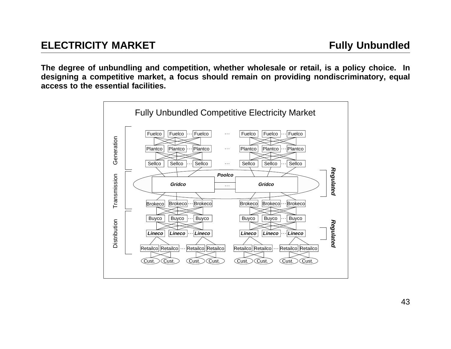The degree of unbundling and competition, whether wholesale or retail, is a policy choice. In designing a competitive market, a focus should remain on providing nondiscriminatory, equal **access to the essential facilities.**

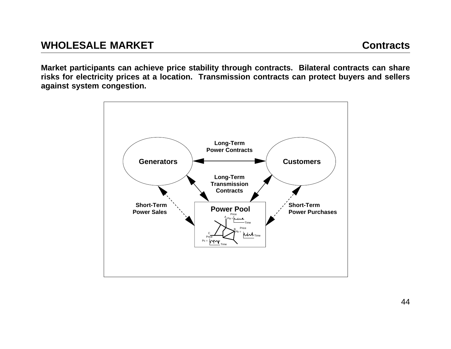Market participants can achieve price stability through contracts. Bilateral contracts can share risks for electricity prices at a location. Transmission contracts can protect buyers and sellers **against system congestion.**

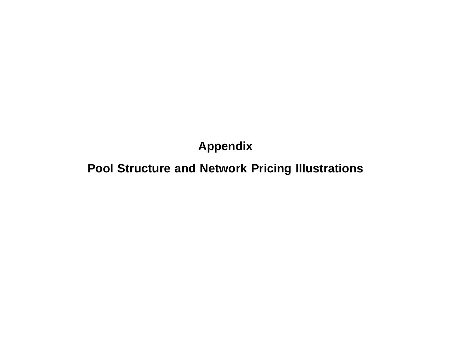**Appendix**

# **Pool Structure and Network Pricing Illustrations**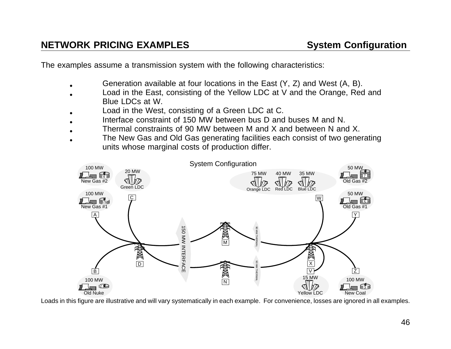The examples assume <sup>a</sup> transmission system with the following characteristics:

- •Generation available at four locations in the East (Y, Z) and West (A, B).
- • Load in the East, consisting of the Yellow LDC at <sup>V</sup> and the Orange, Red and Blue LDCs at W.
- •Load in the West, consisting of <sup>a</sup> Green LDC at C.
- •Interface constraint of <sup>150</sup> MW between bus <sup>D</sup> and buses <sup>M</sup> and N.
- •Thermal constraints of <sup>90</sup> MW between <sup>M</sup> and <sup>X</sup> and between <sup>N</sup> and X.
- • The New Gas and Old Gas generating facilities each consist of two generating units whose marginal costs of production differ.



Loads in this figure are illustrative and will vary systematically in each example. For convenience, losses are ignored in all examples.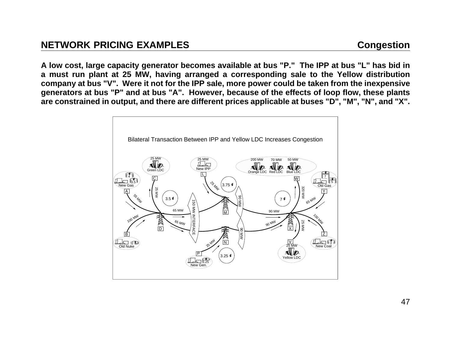## **NETWORK PRICING EXAMPLES Congestion**

A low cost, large capacity generator becomes available at bus "P." The IPP at bus "L" has bid in a must run plant at 25 MW, having arranged a corresponding sale to the Yellow distribution company at bus "V". Were it not for the IPP sale, more power could be taken from the inexpensive generators at bus "P" and at bus "A". However, because of the effects of loop flow, these plants are constrained in output, and there are different prices applicable at buses "D", "M", "N", and "X".

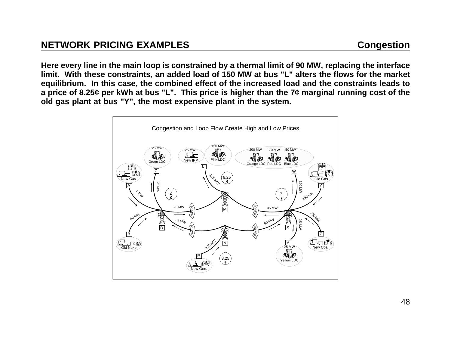Here every line in the main loop is constrained by a thermal limit of 90 MW, replacing the interface limit. With these constraints, an added load of 150 MW at bus "L" alters the flows for the market equilibrium. In this case, the combined effect of the increased load and the constraints leads to a price of 8.25¢ per kWh at bus "L". This price is higher than the 7¢ marginal running cost of the old gas plant at bus "Y", the most expensive plant in the system.

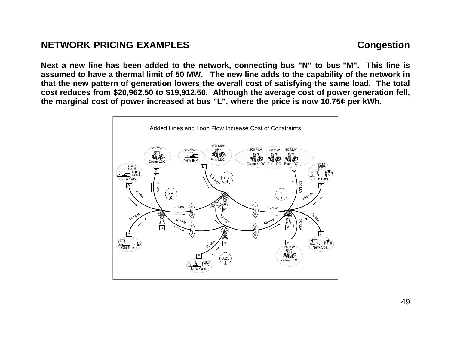### **NETWORK PRICING EXAMPLES Congestion**

Next a new line has been added to the network, connecting bus "N" to bus "M". This line is assumed to have a thermal limit of 50 MW. The new line adds to the capability of the network in that the new pattern of generation lowers the overall cost of satisfying the same load. The total cost reduces from \$20,962.50 to \$19,912.50. Although the average cost of power generation fell, the marginal cost of power increased at bus "L", where the price is now 10.75¢ per kWh.

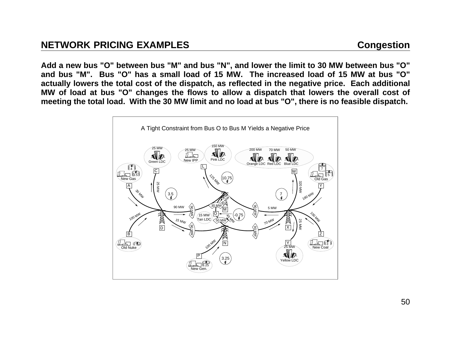### **NETWORK PRICING EXAMPLES Congestion**

Add a new bus "O" between bus "M" and bus "N", and lower the limit to 30 MW between bus "O" and bus "M". Bus "O" has a small load of 15 MW. The increased load of 15 MW at bus "O" actually lowers the total cost of the dispatch, as reflected in the negative price. Each additional MW of load at bus "O" changes the flows to allow a dispatch that lowers the overall cost of meeting the total load. With the 30 MW limit and no load at bus "O", there is no feasible dispatch.

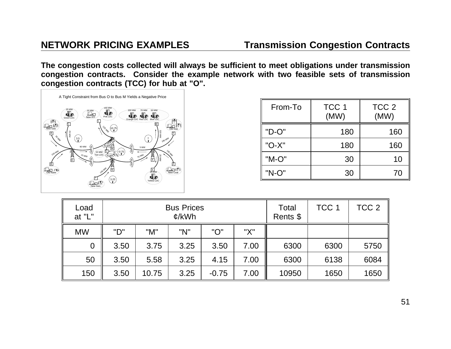The congestion costs collected will always be sufficient to meet obligations under transmission congestion contracts. Consider the example network with two feasible sets of transmission **congestion contracts (TCC) for hub at "O".**



| From-To | TCC <sub>1</sub><br>(MW) | TCC <sub>2</sub><br>(MW) |  |  |
|---------|--------------------------|--------------------------|--|--|
| $"D-O"$ | 180                      | 160                      |  |  |
| "O-X"   | 180                      | 160                      |  |  |
| "M-O"   | 30                       | 10                       |  |  |
| "N-O"   | 30                       | 70                       |  |  |

| Load<br>at "L" | <b>Bus Prices</b><br>$\mathcal{L}/kWh$ |       |      |         |      | Total<br>Rents \$ | TCC 1 | TCC <sub>2</sub> |
|----------------|----------------------------------------|-------|------|---------|------|-------------------|-------|------------------|
| <b>MW</b>      | "D"                                    | "M"   | "N"  | "O"     | "X"  |                   |       |                  |
| $\overline{0}$ | 3.50                                   | 3.75  | 3.25 | 3.50    | 7.00 | 6300              | 6300  | 5750             |
| 50             | 3.50                                   | 5.58  | 3.25 | 4.15    | 7.00 | 6300              | 6138  | 6084             |
| 150            | 3.50                                   | 10.75 | 3.25 | $-0.75$ | 7.00 | 10950             | 1650  | 1650             |